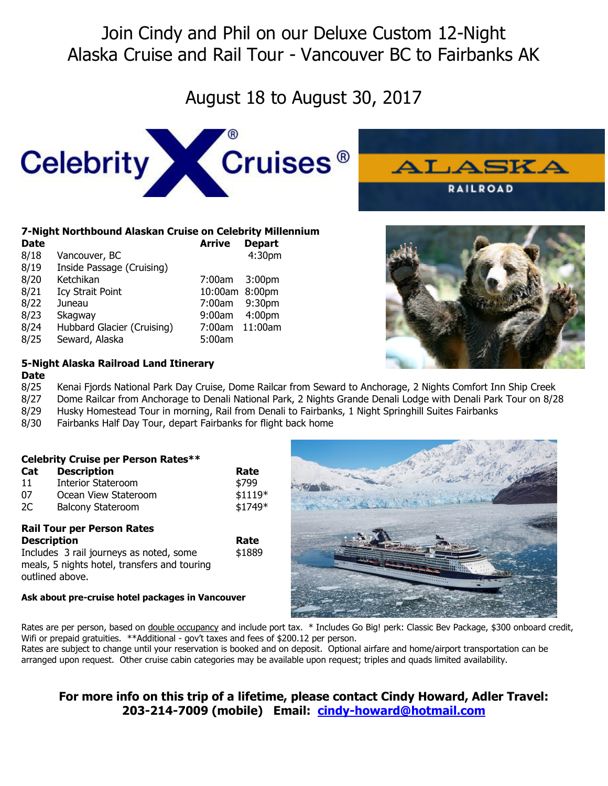# Join Cindy and Phil on our Deluxe Custom 12-Night Alaska Cruise and Rail Tour - Vancouver BC to Fairbanks AK

# August 18 to August 30, 2017



## **7-Night Northbound Alaskan Cruise on Celebrity Millennium**

| <b>Date</b> |                            | <b>Arrive</b>  | <b>Depart</b>      |  |
|-------------|----------------------------|----------------|--------------------|--|
| 8/18        | Vancouver, BC              |                | 4:30pm             |  |
| 8/19        | Inside Passage (Cruising)  |                |                    |  |
| 8/20        | Ketchikan                  | 7:00am         | 3:00 <sub>pm</sub> |  |
| 8/21        | <b>Icy Strait Point</b>    | 10:00am 8:00pm |                    |  |
| 8/22        | Juneau                     | 7:00am         | 9:30 <sub>pm</sub> |  |
| 8/23        | Skagway                    | 9:00am         | 4:00 <sub>pm</sub> |  |
| 8/24        | Hubbard Glacier (Cruising) | 7:00am         | 11:00am            |  |
| 8/25        | Seward, Alaska             | 5:00am         |                    |  |





# **5-Night Alaska Railroad Land Itinerary**

### **Date**

8/25 Kenai Fjords National Park Day Cruise, Dome Railcar from Seward to Anchorage, 2 Nights Comfort Inn Ship Creek

8/27 Dome Railcar from Anchorage to Denali National Park, 2 Nights Grande Denali Lodge with Denali Park Tour on 8/28

8/29 Husky Homestead Tour in morning, Rail from Denali to Fairbanks, 1 Night Springhill Suites Fairbanks

8/30 Fairbanks Half Day Tour, depart Fairbanks for flight back home

| Cat<br>11<br>07<br>2C                                                                                                                                                 | <b>Celebrity Cruise per Person Rates**</b><br><b>Description</b><br><b>Interior Stateroom</b><br>Ocean View Stateroom<br><b>Balcony Stateroom</b> | Rate<br>\$799<br>$$1119*$<br>\$1749* |  |
|-----------------------------------------------------------------------------------------------------------------------------------------------------------------------|---------------------------------------------------------------------------------------------------------------------------------------------------|--------------------------------------|--|
| <b>Rail Tour per Person Rates</b><br><b>Description</b><br>Includes 3 rail journeys as noted, some<br>meals, 5 nights hotel, transfers and touring<br>outlined above. |                                                                                                                                                   | Rate<br>\$1889                       |  |
| Ask about pre-cruise hotel packages in Vancouver                                                                                                                      |                                                                                                                                                   |                                      |  |

## **Ask about pre-cruise hotel packages in Vancouver**



Rates are per person, based on double occupancy and include port tax. \* Includes Go Big! perk: Classic Bev Package, \$300 onboard credit, Wifi or prepaid gratuities. \*\*Additional - gov't taxes and fees of \$200.12 per person.

Rates are subject to change until your reservation is booked and on deposit. Optional airfare and home/airport transportation can be arranged upon request. Other cruise cabin categories may be available upon request; triples and quads limited availability.

# **For more info on this trip of a lifetime, please contact Cindy Howard, Adler Travel: 203-214-7009 (mobile) Email: cindy-howard@hotmail.com**